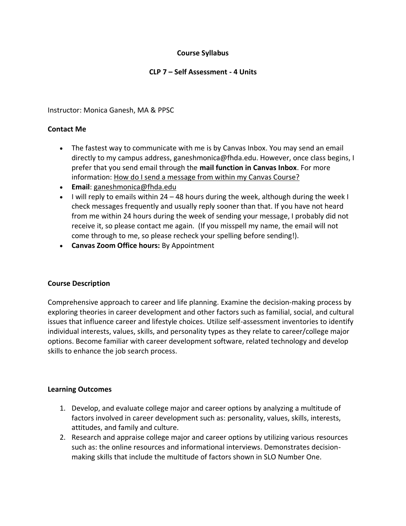## **Course Syllabus**

## **CLP 7 – Self Assessment - 4 Units**

Instructor: Monica Ganesh, MA & PPSC

## **Contact Me**

- The fastest way to communicate with me is by Canvas Inbox. You may send an email directly to my campus address, ganeshmonica@fhda.edu. However, once class begins, I prefer that you send email through the **mail function in Canvas Inbox**. For more information: How do I send a message from within my Canvas Course?
- **Email**: [ganeshmonica@fhda.edu](mailto:garciaalma@fhda.edu)
- I will reply to emails within 24 48 hours during the week, although during the week I check messages frequently and usually reply sooner than that. If you have not heard from me within 24 hours during the week of sending your message, I probably did not receive it, so please contact me again. (If you misspell my name, the email will not come through to me, so please recheck your spelling before sending!).
- **Canvas Zoom Office hours:** By Appointment

#### **Course Description**

Comprehensive approach to career and life planning. Examine the decision-making process by exploring theories in career development and other factors such as familial, social, and cultural issues that influence career and lifestyle choices. Utilize self-assessment inventories to identify individual interests, values, skills, and personality types as they relate to career/college major options. Become familiar with career development software, related technology and develop skills to enhance the job search process.

#### **Learning Outcomes**

- 1. Develop, and evaluate college major and career options by analyzing a multitude of factors involved in career development such as: personality, values, skills, interests, attitudes, and family and culture.
- 2. Research and appraise college major and career options by utilizing various resources such as: the online resources and informational interviews. Demonstrates decisionmaking skills that include the multitude of factors shown in SLO Number One.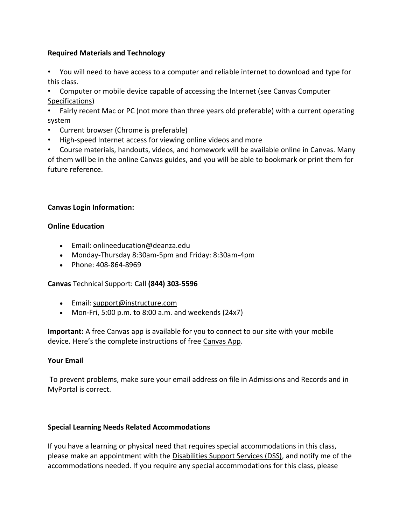## **Required Materials and Technology**

- You will need to have access to a computer and reliable internet to download and type for this class.
- Computer or mobile device capable of accessing the Internet (see Canvas Computer Specifications)
- Fairly recent Mac or PC (not more than three years old preferable) with a current operating system
- Current browser (Chrome is preferable)
- High-speed Internet access for viewing online videos and more
- Course materials, handouts, videos, and homework will be available online in Canvas. Many of them will be in the online Canvas guides, and you will be able to bookmark or print them for future reference.

## **Canvas Login Information:**

## **Online Education**

- Email: onlineeducation@deanza.edu
- Monday-Thursday 8:30am-5pm and Friday: 8:30am-4pm
- Phone: 408-864-8969

#### **Canvas** Technical Support: Call **(844) 303-5596**

- Email: [support@instructure.com](mailto:support@instructure.com)
- Mon-Fri, 5:00 p.m. to 8:00 a.m. and weekends (24x7)

**Important:** A free Canvas app is available for you to connect to our site with your mobile device. Here's the complete instructions of free Canvas App.

#### **Your Email**

To prevent problems, make sure your email address on file in Admissions and Records and in MyPortal is correct.

#### **Special Learning Needs Related Accommodations**

If you have a learning or physical need that requires special accommodations in this class, please make an appointment with the [Disabilities Support Services \(DSS\),](https://www.deanza.edu/dsps/dss/index.html) and notify me of the accommodations needed. If you require any special accommodations for this class, please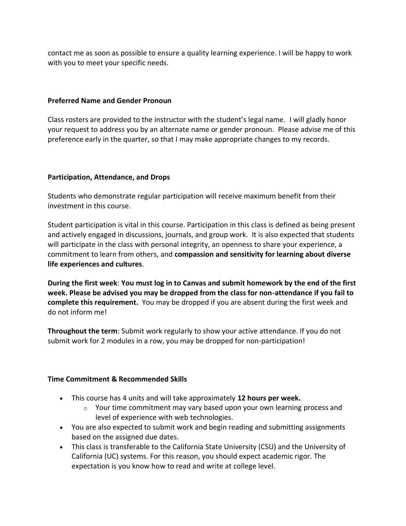contact me as soon as possible to ensure a quality learning experience. I will be happy to work with you to meet your specific needs.

## **Preferred Name and Gender Pronoun**

Class rosters are provided to the instructor with the student's legal name. I will gladly honor your request to address you by an alternate name or gender pronoun. Please advise me of this preference early in the quarter, so that I may make appropriate changes to my records.

## **Participation, Attendance, and Drops**

Students who demonstrate regular participation will receive maximum benefit from their investment in this course.

Student participation is vital in this course. Participation in this class is defined as being present and actively engaged in discussions, journals, and group work. It is also expected that students will participate in the class with personal integrity, an openness to share your experience, a commitment to learn from others, and **compassion and sensitivity for learning about diverse life experiences and cultures**.

**During the first week**: **You must log in to Canvas and submit homework by the end of the first week. Please be advised you may be dropped from the class for non-attendance if you fail to complete this requirement.** You may be dropped if you are absent during the first week and do not inform me!

**Throughout the term**: Submit work regularly to show your active attendance. If you do not submit work for 2 modules in a row, you may be dropped for non-participation!

#### **Time Commitment & Recommended Skills**

- This course has 4 units and will take approximately **12 hours per week.** 
	- $\circ$  Your time commitment may vary based upon your own learning process and level of experience with web technologies.
- You are also expected to submit work and begin reading and submitting assignments based on the assigned due dates.
- This class is transferable to the California State University (CSU) and the University of California (UC) systems. For this reason, you should expect academic rigor. The expectation is you know how to read and write at college level.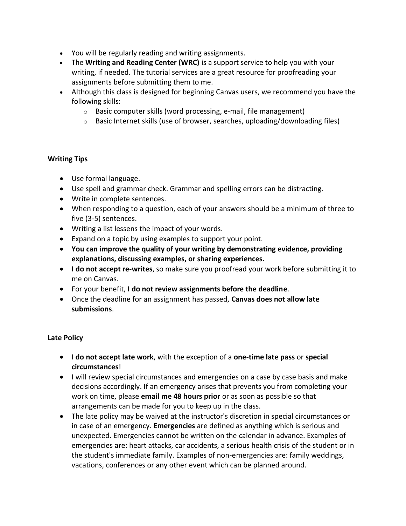- You will be regularly reading and writing assignments.
- The **Writing and Reading Center (WRC)** is a support service to help you with your writing, if needed. The tutorial services are a great resource for proofreading your assignments before submitting them to me.
- Although this class is designed for beginning Canvas users, we recommend you have the following skills:
	- o Basic computer skills (word processing, e-mail, file management)
	- $\circ$  Basic Internet skills (use of browser, searches, uploading/downloading files)

## **Writing Tips**

- Use formal language.
- Use spell and grammar check. Grammar and spelling errors can be distracting.
- Write in complete sentences.
- When responding to a question, each of your answers should be a minimum of three to five (3-5) sentences.
- Writing a list lessens the impact of your words.
- Expand on a topic by using examples to support your point.
- **You can improve the quality of your writing by demonstrating evidence, providing explanations, discussing examples, or sharing experiences.**
- **I do not accept re-writes**, so make sure you proofread your work before submitting it to me on Canvas.
- For your benefit, **I do not review assignments before the deadline**.
- Once the deadline for an assignment has passed, **Canvas does not allow late submissions**.

## **Late Policy**

- I **do not accept late work**, with the exception of a **one-time late pass** or **special circumstances**!
- I will review special circumstances and emergencies on a case by case basis and make decisions accordingly. If an emergency arises that prevents you from completing your work on time, please **email me 48 hours prior** or as soon as possible so that arrangements can be made for you to keep up in the class.
- The late policy may be waived at the instructor's discretion in special circumstances or in case of an emergency. **Emergencies** are defined as anything which is serious and unexpected. Emergencies cannot be written on the calendar in advance. Examples of emergencies are: heart attacks, car accidents, a serious health crisis of the student or in the student's immediate family. Examples of non-emergencies are: family weddings, vacations, conferences or any other event which can be planned around.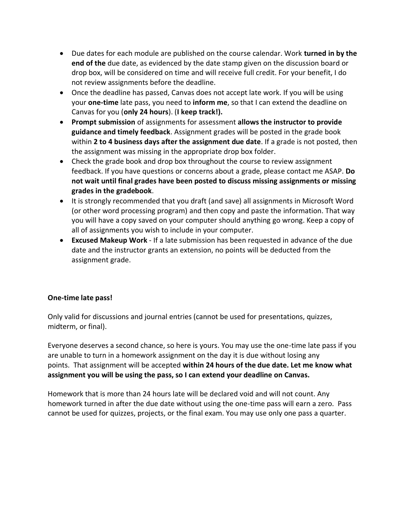- Due dates for each module are published on the course calendar. Work **turned in by the end of the** due date, as evidenced by the date stamp given on the discussion board or drop box, will be considered on time and will receive full credit. For your benefit, I do not review assignments before the deadline.
- Once the deadline has passed, Canvas does not accept late work. If you will be using your **one-time** late pass, you need to **inform me**, so that I can extend the deadline on Canvas for you (**only 24 hours**). (**I keep track!).**
- **Prompt submission** of assignments for assessment **allows the instructor to provide guidance and timely feedback**. Assignment grades will be posted in the grade book within **2 to 4 business days after the assignment due date**. If a grade is not posted, then the assignment was missing in the appropriate drop box folder.
- Check the grade book and drop box throughout the course to review assignment feedback. If you have questions or concerns about a grade, please contact me ASAP. **Do not wait until final grades have been posted to discuss missing assignments or missing grades in the gradebook**.
- It is strongly recommended that you draft (and save) all assignments in Microsoft Word (or other word processing program) and then copy and paste the information. That way you will have a copy saved on your computer should anything go wrong. Keep a copy of all of assignments you wish to include in your computer.
- **Excused Makeup Work** If a late submission has been requested in advance of the due date and the instructor grants an extension, no points will be deducted from the assignment grade.

# **One-time late pass!**

Only valid for discussions and journal entries (cannot be used for presentations, quizzes, midterm, or final).

Everyone deserves a second chance, so here is yours. You may use the one-time late pass if you are unable to turn in a homework assignment on the day it is due without losing any points. That assignment will be accepted **within 24 hours of the due date. Let me know what assignment you will be using the pass, so I can extend your deadline on Canvas.**

Homework that is more than 24 hours late will be declared void and will not count. Any homework turned in after the due date without using the one-time pass will earn a zero. Pass cannot be used for quizzes, projects, or the final exam. You may use only one pass a quarter.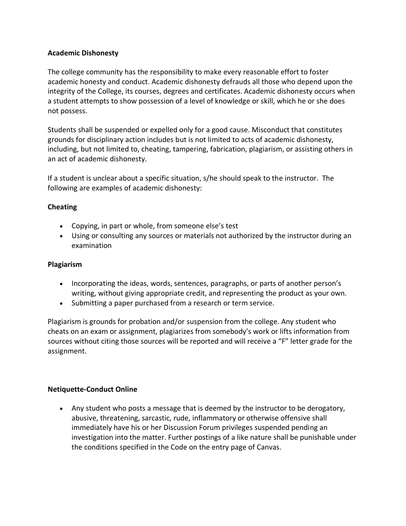## **Academic Dishonesty**

The college community has the responsibility to make every reasonable effort to foster academic honesty and conduct. Academic dishonesty defrauds all those who depend upon the integrity of the College, its courses, degrees and certificates. Academic dishonesty occurs when a student attempts to show possession of a level of knowledge or skill, which he or she does not possess.

Students shall be suspended or expelled only for a good cause. Misconduct that constitutes grounds for disciplinary action includes but is not limited to acts of academic dishonesty, including, but not limited to, cheating, tampering, fabrication, plagiarism, or assisting others in an act of academic dishonesty.

If a student is unclear about a specific situation, s/he should speak to the instructor. The following are examples of academic dishonesty:

## **Cheating**

- Copying, in part or whole, from someone else's test
- Using or consulting any sources or materials not authorized by the instructor during an examination

#### **Plagiarism**

- Incorporating the ideas, words, sentences, paragraphs, or parts of another person's writing, without giving appropriate credit, and representing the product as your own.
- Submitting a paper purchased from a research or term service.

Plagiarism is grounds for probation and/or suspension from the college. Any student who cheats on an exam or assignment, plagiarizes from somebody's work or lifts information from sources without citing those sources will be reported and will receive a "F" letter grade for the assignment.

#### **Netiquette-Conduct Online**

• Any student who posts a message that is deemed by the instructor to be derogatory, abusive, threatening, sarcastic, rude, inflammatory or otherwise offensive shall immediately have his or her Discussion Forum privileges suspended pending an investigation into the matter. Further postings of a like nature shall be punishable under the conditions specified in the Code on the entry page of Canvas.